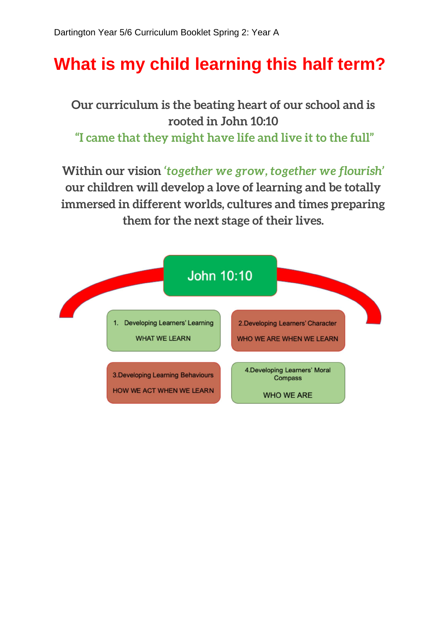## **What is my child learning this half term?**

**Our curriculum is the beating heart of our school and is rooted in John 10:10 "I came that they might have life and live it to the full"**

**Within our vision** *'together we grow, together we flourish'*  **our children will develop a love of learning and be totally immersed in different worlds, cultures and times preparing them for the next stage of their lives.**

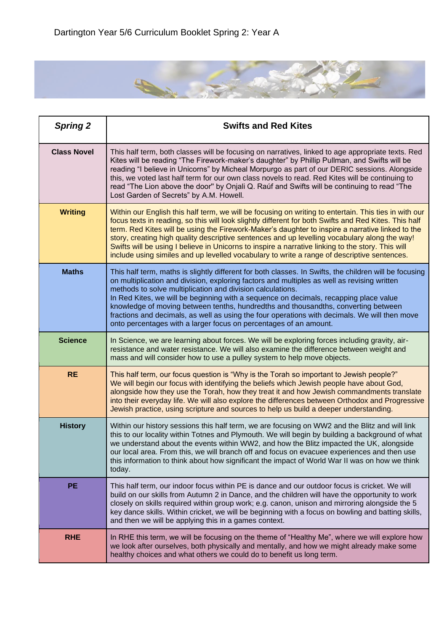

| <b>Spring 2</b>    | <b>Swifts and Red Kites</b>                                                                                                                                                                                                                                                                                                                                                                                                                                                                                                                                                                                              |
|--------------------|--------------------------------------------------------------------------------------------------------------------------------------------------------------------------------------------------------------------------------------------------------------------------------------------------------------------------------------------------------------------------------------------------------------------------------------------------------------------------------------------------------------------------------------------------------------------------------------------------------------------------|
| <b>Class Novel</b> | This half term, both classes will be focusing on narratives, linked to age appropriate texts. Red<br>Kites will be reading "The Firework-maker's daughter" by Phillip Pullman, and Swifts will be<br>reading "I believe in Unicorns" by Micheal Morpurgo as part of our DERIC sessions. Alongside<br>this, we voted last half term for our own class novels to read. Red Kites will be continuing to<br>read "The Lion above the door" by Onjali Q. Raúf and Swifts will be continuing to read "The<br>Lost Garden of Secrets" by A.M. Howell.                                                                           |
| <b>Writing</b>     | Within our English this half term, we will be focusing on writing to entertain. This ties in with our<br>focus texts in reading, so this will look slightly different for both Swifts and Red Kites. This half<br>term. Red Kites will be using the Firework-Maker's daughter to inspire a narrative linked to the<br>story, creating high quality descriptive sentences and up levelling vocabulary along the way!<br>Swifts will be using I believe in Unicorns to inspire a narrative linking to the story. This will<br>include using similes and up levelled vocabulary to write a range of descriptive sentences.  |
| <b>Maths</b>       | This half term, maths is slightly different for both classes. In Swifts, the children will be focusing<br>on multiplication and division, exploring factors and multiples as well as revising written<br>methods to solve multiplication and division calculations.<br>In Red Kites, we will be beginning with a sequence on decimals, recapping place value<br>knowledge of moving between tenths, hundredths and thousandths, converting between<br>fractions and decimals, as well as using the four operations with decimals. We will then move<br>onto percentages with a larger focus on percentages of an amount. |
| <b>Science</b>     | In Science, we are learning about forces. We will be exploring forces including gravity, air-<br>resistance and water resistance. We will also examine the difference between weight and<br>mass and will consider how to use a pulley system to help move objects.                                                                                                                                                                                                                                                                                                                                                      |
| <b>RE</b>          | This half term, our focus question is "Why is the Torah so important to Jewish people?"<br>We will begin our focus with identifying the beliefs which Jewish people have about God,<br>alongside how they use the Torah, how they treat it and how Jewish commandments translate<br>into their everyday life. We will also explore the differences between Orthodox and Progressive<br>Jewish practice, using scripture and sources to help us build a deeper understanding.                                                                                                                                             |
| <b>History</b>     | Within our history sessions this half term, we are focusing on WW2 and the Blitz and will link<br>this to our locality within Totnes and Plymouth. We will begin by building a background of what<br>we understand about the events within WW2, and how the Blitz impacted the UK, alongside<br>our local area. From this, we will branch off and focus on evacuee experiences and then use<br>this information to think about how significant the impact of World War II was on how we think<br>today.                                                                                                                  |
| <b>PE</b>          | This half term, our indoor focus within PE is dance and our outdoor focus is cricket. We will<br>build on our skills from Autumn 2 in Dance, and the children will have the opportunity to work<br>closely on skills required within group work; e.g. canon, unison and mirroring alongside the 5<br>key dance skills. Within cricket, we will be beginning with a focus on bowling and batting skills,<br>and then we will be applying this in a games context.                                                                                                                                                         |
| <b>RHE</b>         | In RHE this term, we will be focusing on the theme of "Healthy Me", where we will explore how<br>we look after ourselves, both physically and mentally, and how we might already make some<br>healthy choices and what others we could do to benefit us long term.                                                                                                                                                                                                                                                                                                                                                       |